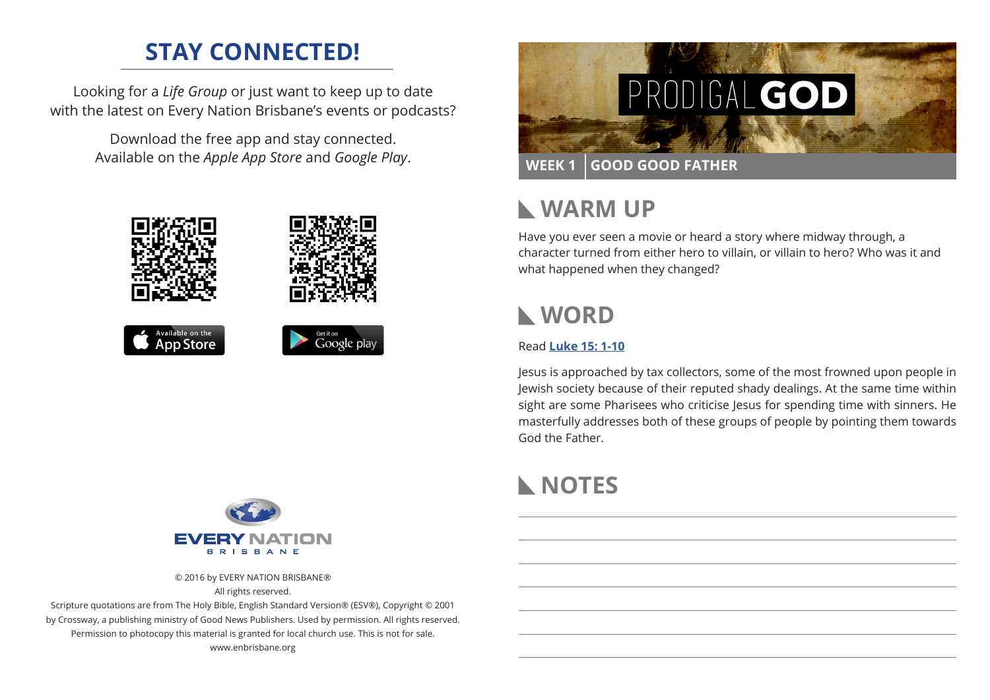## **STAY CONNECTED!**

Looking for a *Life Group* or just want to keep up to date with the latest on Every Nation Brisbane's events or podcasts?

> Download the free app and stay connected. Available on the *Apple App Store* and *Google Play*.





#### **WARM UP**  $\mathbf{L}$

Have you ever seen a movie or heard a story where midway through, a character turned from either hero to villain, or villain to hero? Who was it and what happened when they changed?

## **WORD**

#### Read **[Luke 15: 1-10](https://www.biblegateway.com/passage/?search=Luke+15%3A1-10&version=ESV)**

Jesus is approached by tax collectors, some of the most frowned upon people in Jewish society because of their reputed shady dealings. At the same time within sight are some Pharisees who criticise Jesus for spending time with sinners. He masterfully addresses both of these groups of people by pointing them towards God the Father.

# **NOTES**



© 2016 by EVERY NATION BRISBANE® All rights reserved.

Scripture quotations are from The Holy Bible, English Standard Version® (ESV®), Copyright © 2001 by Crossway, a publishing ministry of Good News Publishers. Used by permission. All rights reserved. Permission to photocopy this material is granted for local church use. This is not for sale. www.enbrisbane.org